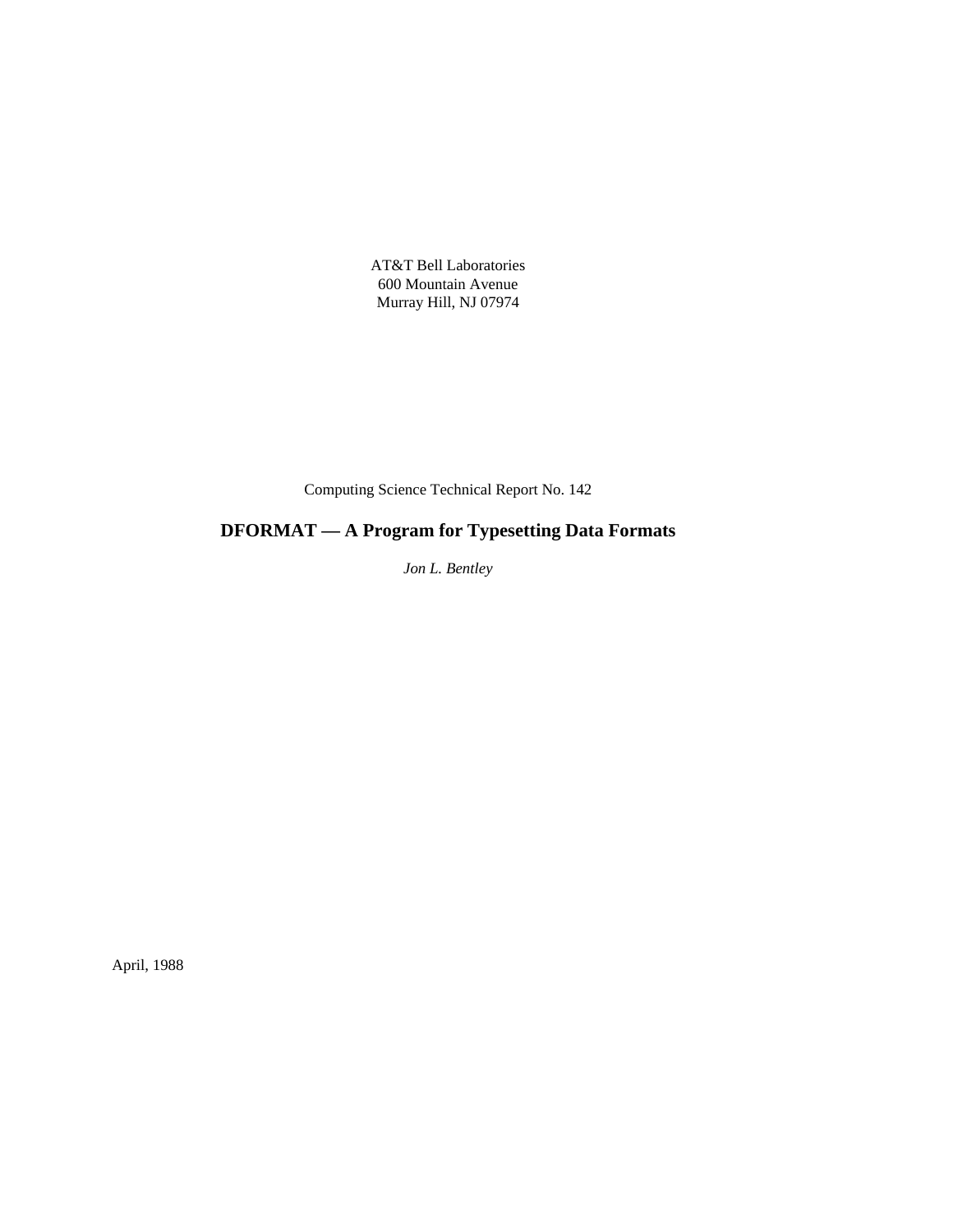AT&T Bell Laboratories 600 Mountain Avenue Murray Hill, NJ 07974

Computing Science Technical Report No. 142

# **DFORMAT — A Program for Typesetting Data Formats**

*Jon L. Bentley*

April, 1988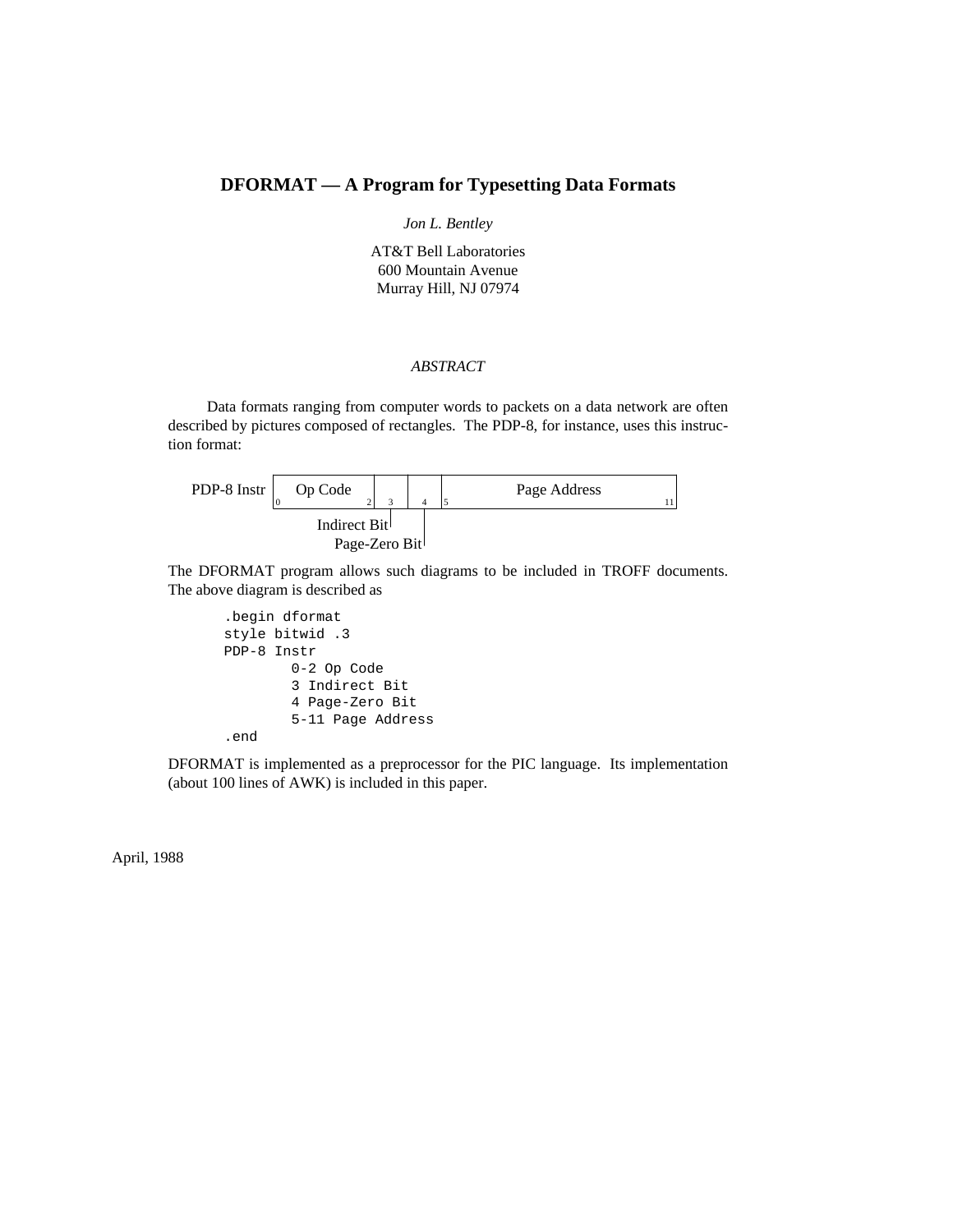# **DFORMAT — A Program for Typesetting Data Formats**

## *Jon L. Bentley*

AT&T Bell Laboratories 600 Mountain Avenue Murray Hill, NJ 07974

### *ABSTRACT*

Data formats ranging from computer words to packets on a data network are often described by pictures composed of rectangles. The PDP-8, for instance, uses this instruction format:

| PDP-8 Instr  | Op Code       |  |  | Page Address |  |
|--------------|---------------|--|--|--------------|--|
| Indirect Bit |               |  |  |              |  |
|              | Page-Zero Bit |  |  |              |  |

The DFORMAT program allows such diagrams to be included in TROFF documents. The above diagram is described as

```
.begin dformat
style bitwid .3
PDP-8 Instr
        0-2 Op Code
        3 Indirect Bit
        4 Page-Zero Bit
        5-11 Page Address
.end
```
DFORMAT is implemented as a preprocessor for the PIC language. Its implementation (about 100 lines of AWK) is included in this paper.

April, 1988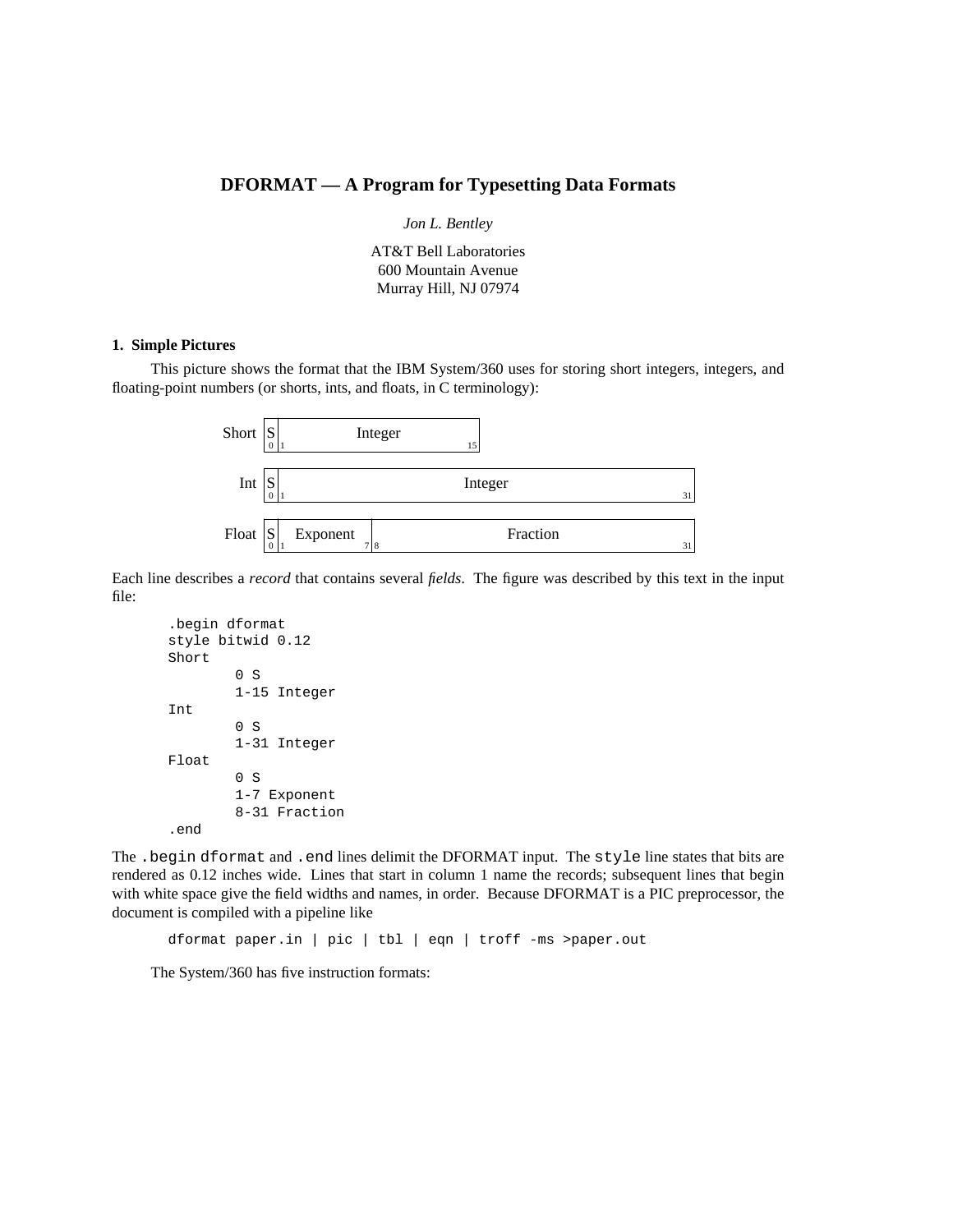# **DFORMAT — A Program for Typesetting Data Formats**

*Jon L. Bentley*

AT&T Bell Laboratories 600 Mountain Avenue Murray Hill, NJ 07974

#### **1. Simple Pictures**

This picture shows the format that the IBM System/360 uses for storing short integers, integers, and floating-point numbers (or shorts, ints, and floats, in C terminology):



Each line describes a *record* that contains several *fields*. The figure was described by this text in the input file:

```
.begin dformat
style bitwid 0.12
Short
        0 S
        1-15 Integer
Int
        0 S
        1-31 Integer
Float
        0 S
        1-7 Exponent
        8-31 Fraction
.end
```
The .begin dformat and .end lines delimit the DFORMAT input. The style line states that bits are rendered as 0.12 inches wide. Lines that start in column 1 name the records; subsequent lines that begin with white space give the field widths and names, in order. Because DFORMAT is a PIC preprocessor, the document is compiled with a pipeline like

dformat paper.in | pic | tbl | eqn | troff -ms >paper.out

The System/360 has five instruction formats: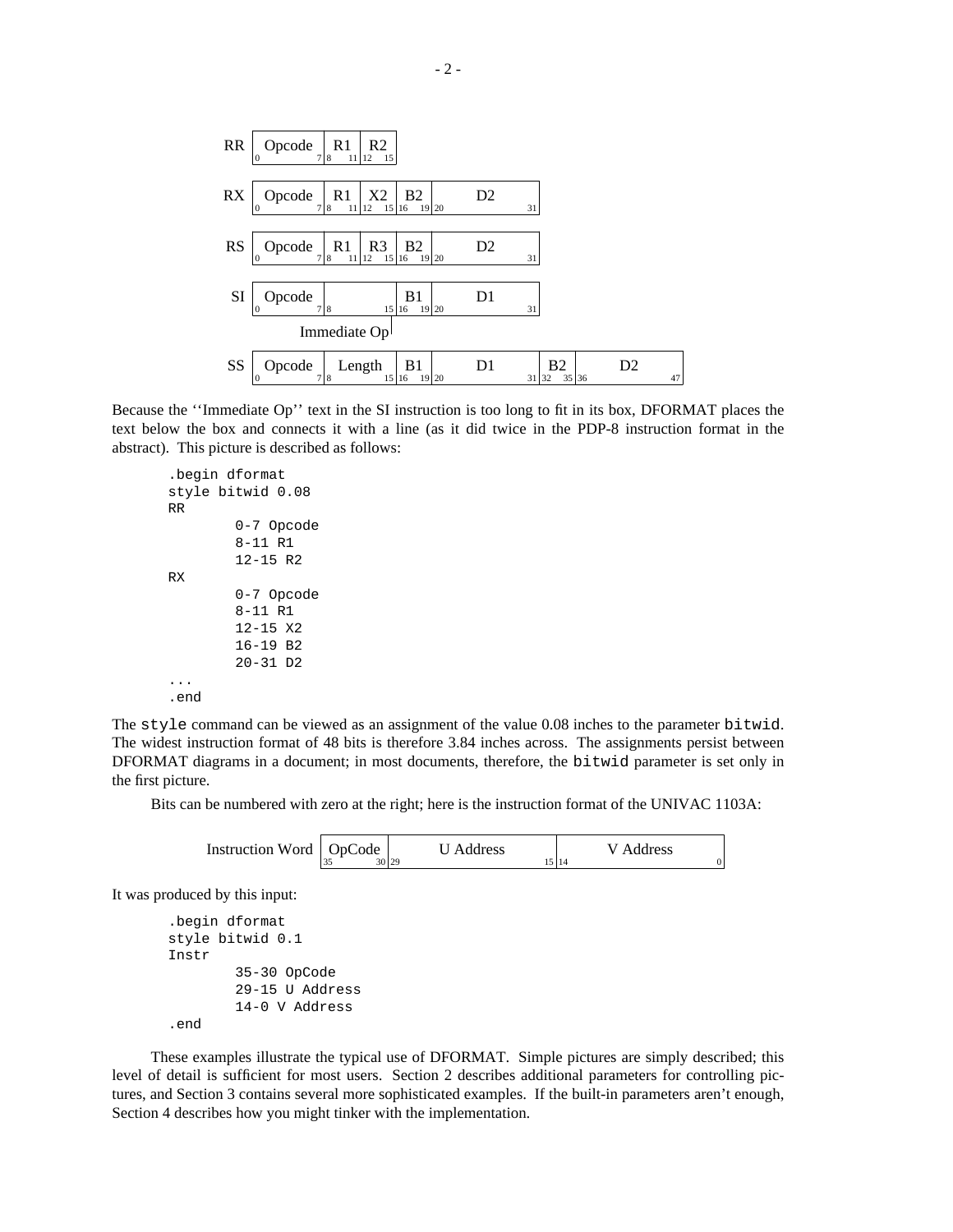

Because the ''Immediate Op'' text in the SI instruction is too long to fit in its box, DFORMAT places the text below the box and connects it with a line (as it did twice in the PDP-8 instruction format in the abstract). This picture is described as follows:

```
.begin dformat
style bitwid 0.08
RR
        0-7 Opcode
        8-11 R1
        12-15 R2
RX
        0-7 Opcode
        8-11 R1
        12-15 X2
        16-19 B2
        20-31 D2
...
.end
```
The  $style$  command can be viewed as an assignment of the value 0.08 inches to the parameter bitwid. The widest instruction format of 48 bits is therefore 3.84 inches across. The assignments persist between DFORMAT diagrams in a document; in most documents, therefore, the bitwid parameter is set only in the first picture.

Bits can be numbered with zero at the right; here is the instruction format of the UNIVAC 1103A:

| Instruction Word   OpCode | U Address | V Address |
|---------------------------|-----------|-----------|
|                           |           | 114       |

It was produced by this input:

```
.begin dformat
style bitwid 0.1
Instr
        35-30 OpCode
        29-15 U Address
        14-0 V Address
.end
```
These examples illustrate the typical use of DFORMAT. Simple pictures are simply described; this level of detail is sufficient for most users. Section 2 describes additional parameters for controlling pictures, and Section 3 contains several more sophisticated examples. If the built-in parameters aren't enough, Section 4 describes how you might tinker with the implementation.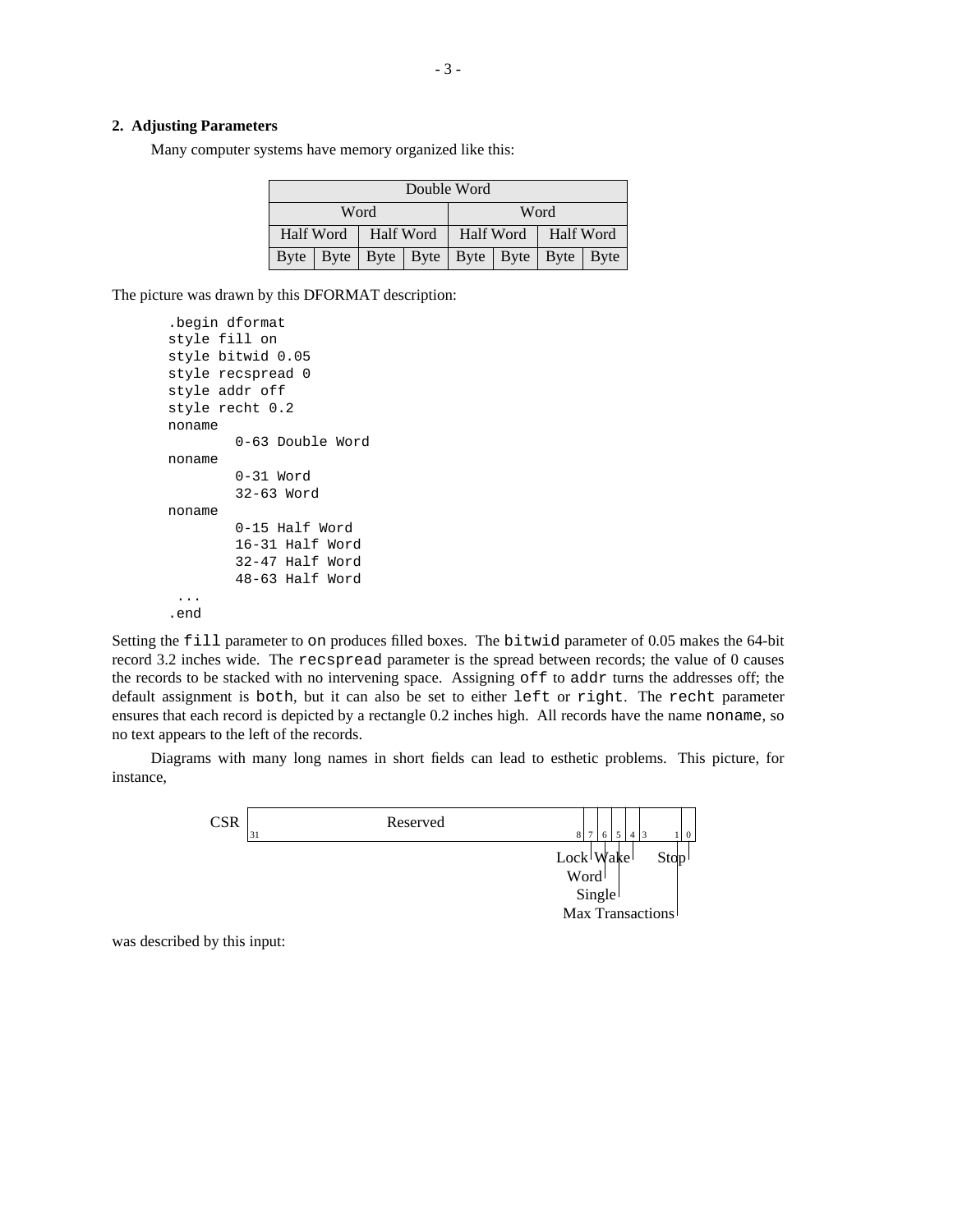#### **2. Adjusting Parameters**

Many computer systems have memory organized like this:

| Double Word  |  |                       |                                                       |                       |  |  |  |  |
|--------------|--|-----------------------|-------------------------------------------------------|-----------------------|--|--|--|--|
| Word<br>Word |  |                       |                                                       |                       |  |  |  |  |
|              |  | Half Word   Half Word |                                                       | Half Word   Half Word |  |  |  |  |
|              |  |                       | Byte   Byte   Byte   Byte   Byte   Byte   Byte   Byte |                       |  |  |  |  |

The picture was drawn by this DFORMAT description:

```
.begin dformat
style fill on
style bitwid 0.05
style recspread 0
style addr off
style recht 0.2
noname
        0-63 Double Word
noname
        0-31 Word
        32-63 Word
noname
        0-15 Half Word
        16-31 Half Word
        32-47 Half Word
        48-63 Half Word
 ...
.end
```
Setting the fill parameter to on produces filled boxes. The bitwid parameter of 0.05 makes the 64-bit record 3.2 inches wide. The recspread parameter is the spread between records; the value of 0 causes the records to be stacked with no intervening space. Assigning off to addr turns the addresses off; the default assignment is both, but it can also be set to either left or right. The recht parameter ensures that each record is depicted by a rectangle 0.2 inches high. All records have the name noname, so no text appears to the left of the records.

Diagrams with many long names in short fields can lead to esthetic problems. This picture, for instance,



was described by this input: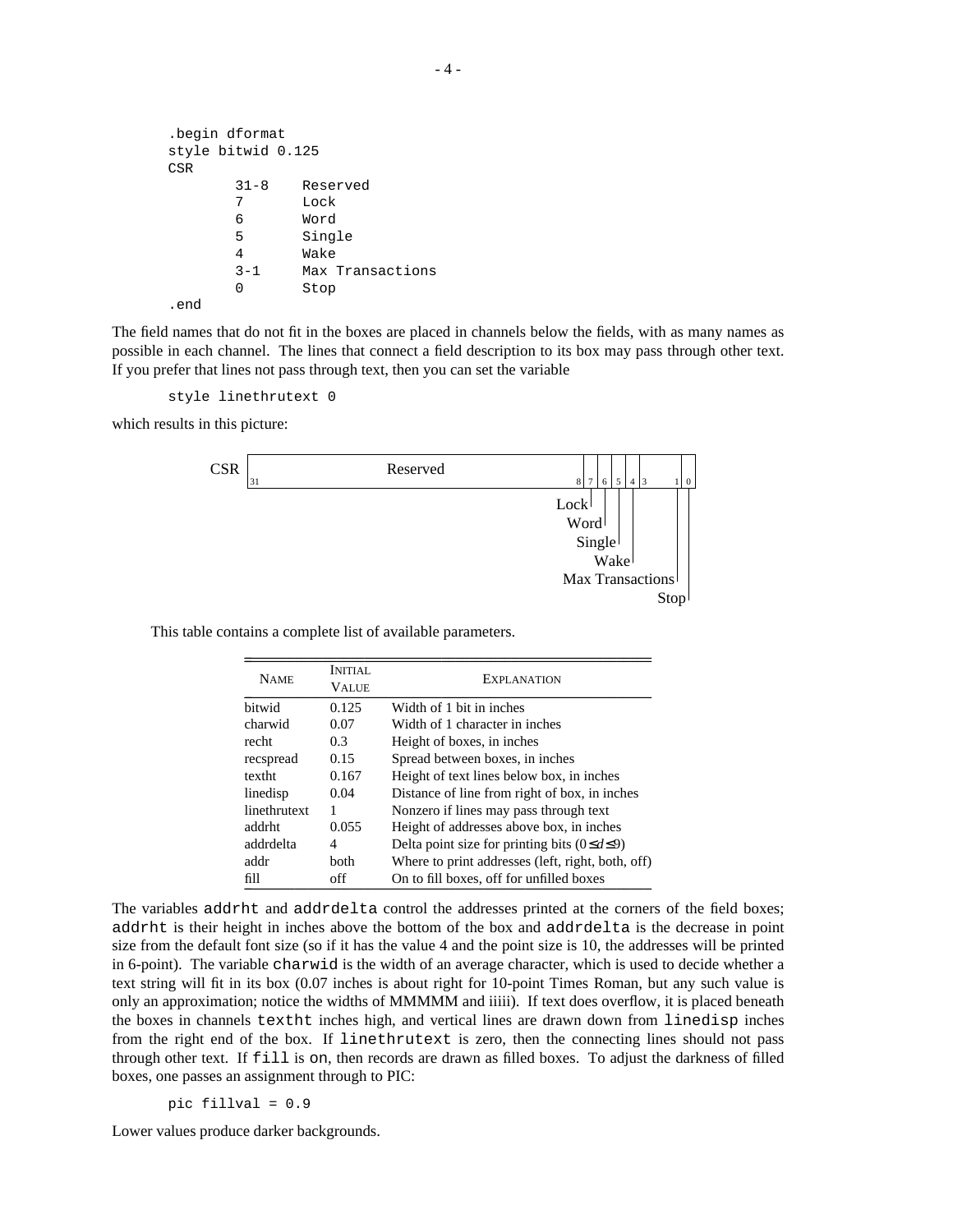```
.begin dformat
style bitwid 0.125
CSR
      31-8 Reserved
      7 Lock
      6 Word
      5 Single
      4 Wake
      3-1 Max Transactions
      0 Stop
.end
```
The field names that do not fit in the boxes are placed in channels below the fields, with as many names as possible in each channel. The lines that connect a field description to its box may pass through other text. If you prefer that lines not pass through text, then you can set the variable

```
style linethrutext 0
```
which results in this picture:



This table contains a complete list of available parameters.

| <b>NAME</b>  | INITIAL.<br><b>VALUE</b> | EXPLANATION                                          |
|--------------|--------------------------|------------------------------------------------------|
| hitwid       | 0.125                    | Width of 1 bit in inches                             |
| charwid      | 0.07                     | Width of 1 character in inches                       |
| recht        | 0.3                      | Height of boxes, in inches                           |
| recspread    | 0.15                     | Spread between boxes, in inches                      |
| textht       | 0.167                    | Height of text lines below box, in inches            |
| linedisp     | 0.04                     | Distance of line from right of box, in inches        |
| linethrutext |                          | Nonzero if lines may pass through text               |
| addrht       | 0.055                    | Height of addresses above box, in inches             |
| addrdelta    | 4                        | Delta point size for printing bits $(0 \le d \le 9)$ |
| addr         | both                     | Where to print addresses (left, right, both, off)    |
| fill         | off                      | On to fill boxes, off for unfilled boxes             |

 $\mathcal{L} = \{ \mathcal{L} \mid \mathcal{L} \in \mathcal{L} \}$  , where  $\mathcal{L} = \{ \mathcal{L} \mid \mathcal{L} \in \mathcal{L} \}$  , where  $\mathcal{L} = \{ \mathcal{L} \mid \mathcal{L} \in \mathcal{L} \}$ 

The variables addrht and addrdelta control the addresses printed at the corners of the field boxes; addrht is their height in inches above the bottom of the box and addrdelta is the decrease in point size from the default font size (so if it has the value 4 and the point size is 10, the addresses will be printed in 6-point). The variable charwid is the width of an average character, which is used to decide whether a text string will fit in its box (0.07 inches is about right for 10-point Times Roman, but any such value is only an approximation; notice the widths of MMMMM and iiiii). If text does overflow, it is placed beneath the boxes in channels textht inches high, and vertical lines are drawn down from linedisp inches from the right end of the box. If linethrutext is zero, then the connecting lines should not pass through other text. If fill is on, then records are drawn as filled boxes. To adjust the darkness of filled boxes, one passes an assignment through to PIC:

$$
pic\ fillval = 0.9
$$

Lower values produce darker backgrounds.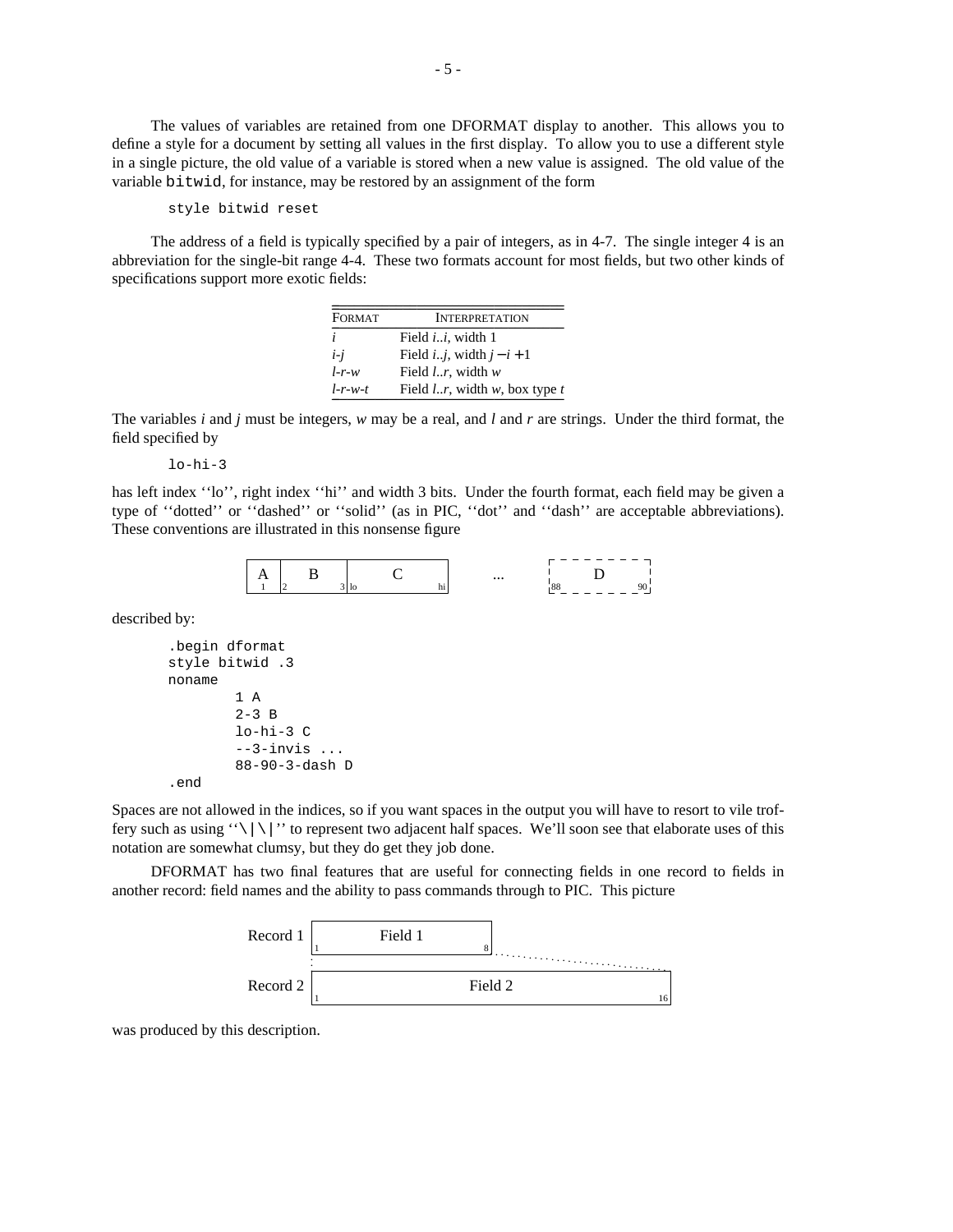The values of variables are retained from one DFORMAT display to another. This allows you to define a style for a document by setting all values in the first display. To allow you to use a different style in a single picture, the old value of a variable is stored when a new value is assigned. The old value of the variable bitwid, for instance, may be restored by an assignment of the form

```
style bitwid reset
```
The address of a field is typically specified by a pair of integers, as in 4-7. The single integer 4 is an abbreviation for the single-bit range 4-4. These two formats account for most fields, but two other kinds of specifications support more exotic fields:

 $\mathcal{L} = \{ \mathcal{L} \in \mathcal{L} \mid \mathcal{L} \in \mathcal{L} \}$  , where  $\mathcal{L} = \{ \mathcal{L} \in \mathcal{L} \}$ 

| FORMAT    | <b>INTERPRETATION</b>                 |
|-----------|---------------------------------------|
| i         | Field <i>i.i.</i> , width 1           |
| $i-i$     | Field <i>ij</i> , width $j-i+1$       |
| $l-r-w$   | Field $l.r$ , width $w$               |
| $l-r-w-t$ | Field $lr$ , width $w$ , box type $t$ |

The variables *i* and *j* must be integers, *w* may be a real, and *l* and *r* are strings. Under the third format, the field specified by

lo-hi-3

has left index ''lo'', right index ''hi'' and width 3 bits. Under the fourth format, each field may be given a type of ''dotted'' or ''dashed'' or ''solid'' (as in PIC, ''dot'' and ''dash'' are acceptable abbreviations). These conventions are illustrated in this nonsense figure



described by:

```
.begin dformat
style bitwid .3
noname
        1 A
        2-3 B
        lo-hi-3 C
        --3-invis ...
        88-90-3-dash D
.end
```
Spaces are not allowed in the indices, so if you want spaces in the output you will have to resort to vile troffery such as using " $\setminus |\setminus|$ " to represent two adjacent half spaces. We'll soon see that elaborate uses of this notation are somewhat clumsy, but they do get they job done.

DFORMAT has two final features that are useful for connecting fields in one record to fields in another record: field names and the ability to pass commands through to PIC. This picture



was produced by this description.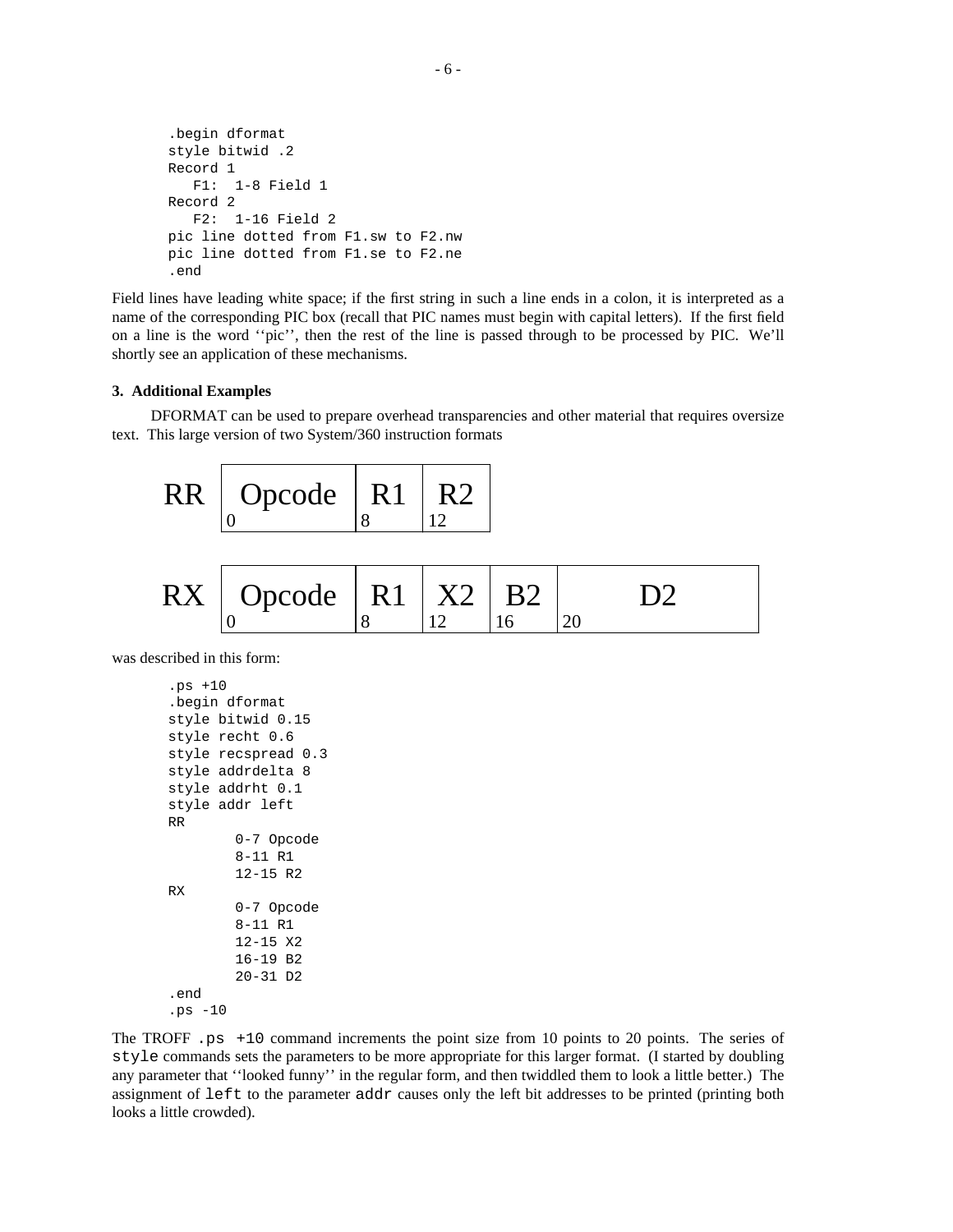```
.begin dformat
style bitwid .2
Record 1
  F1: 1-8 Field 1
Record 2
  F2: 1-16 Field 2
pic line dotted from F1.sw to F2.nw
pic line dotted from F1.se to F2.ne
.end
```
Field lines have leading white space; if the first string in such a line ends in a colon, it is interpreted as a name of the corresponding PIC box (recall that PIC names must begin with capital letters). If the first field on a line is the word ''pic'', then the rest of the line is passed through to be processed by PIC. We'll shortly see an application of these mechanisms.

### **3. Additional Examples**

DFORMAT can be used to prepare overhead transparencies and other material that requires oversize text. This large version of two System/360 instruction formats

| RR   Opcode   R1 |  |
|------------------|--|
|                  |  |

| $RX \mid$ Opcode   R1   X2   B2 |  |  |
|---------------------------------|--|--|
|                                 |  |  |

was described in this form:

```
.ps +10
.begin dformat
style bitwid 0.15
style recht 0.6
style recspread 0.3
style addrdelta 8
style addrht 0.1
style addr left
RR
        0-7 Opcode
        8-11 R1
        12-15 R2
RX
        0-7 Opcode
        8-11 R1
        12-15 X2
        16-19 B2
        20-31 D2
.end
.ps -10
```
The TROFF .ps +10 command increments the point size from 10 points to 20 points. The series of style commands sets the parameters to be more appropriate for this larger format. (I started by doubling any parameter that ''looked funny'' in the regular form, and then twiddled them to look a little better.) The assignment of left to the parameter addr causes only the left bit addresses to be printed (printing both looks a little crowded).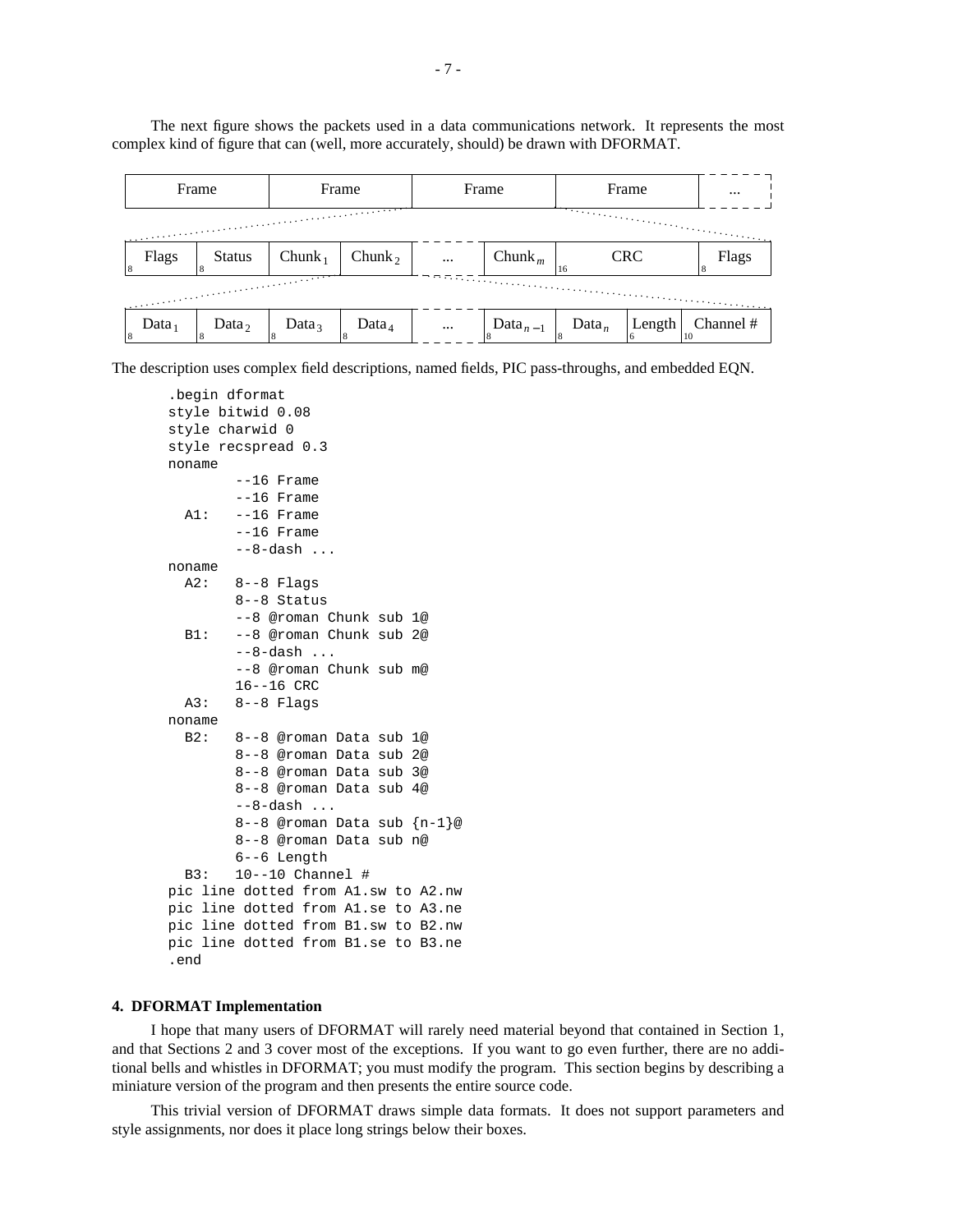The next figure shows the packets used in a data communications network. It represents the most complex kind of figure that can (well, more accurately, should) be drawn with DFORMAT.

|                                                                       | Frame             | Frame                  |                    | Frame    |                                  | Frame             |        | $\cdots$        |
|-----------------------------------------------------------------------|-------------------|------------------------|--------------------|----------|----------------------------------|-------------------|--------|-----------------|
|                                                                       |                   |                        |                    |          |                                  |                   |        |                 |
| Flags<br>8                                                            | <b>Status</b>     | $Chunk_1$              | Chunk <sub>2</sub> | $\cdots$ | Chunk <sub>m</sub>               | <b>CRC</b><br>16  |        | Flags<br>18     |
| <u>alle</u> provincia e consequente a la provincia e con esta españa. |                   |                        |                    |          |                                  |                   |        |                 |
| Data <sub>1</sub>                                                     | Data <sub>2</sub> | Data <sub>3</sub><br>8 | Data <sub>4</sub>  | $\cdots$ | Data <sub><math>n-1</math></sub> | Data <sub>n</sub> | Length | Channel #<br>10 |

The description uses complex field descriptions, named fields, PIC pass-throughs, and embedded EQN.

```
.begin dformat
style bitwid 0.08
style charwid 0
style recspread 0.3
noname
        --16 Frame
        --16 Frame
  A1: --16 Frame
        --16 Frame
        --8-dash ...
noname
  A2: 8--8 Flags
        8--8 Status
        --8 @roman Chunk sub 1@
  B1: --8 @roman Chunk sub 2@
        --8-dash ...
        --8 @roman Chunk sub m@
       16--16 CRC
  A3: 8--8 Flags
noname
  B2: 8--8 @roman Data sub 1@
        8--8 @roman Data sub 2@
        8--8 @roman Data sub 3@
        8--8 @roman Data sub 4@
        --8-dash ...
        8--8 @roman Data sub {n-1}@
        8--8 @roman Data sub n@
        6--6 Length
  B3: 10--10 Channel #
pic line dotted from A1.sw to A2.nw
pic line dotted from A1.se to A3.ne
pic line dotted from B1.sw to B2.nw
pic line dotted from B1.se to B3.ne
.end
```
#### **4. DFORMAT Implementation**

I hope that many users of DFORMAT will rarely need material beyond that contained in Section 1, and that Sections 2 and 3 cover most of the exceptions. If you want to go even further, there are no additional bells and whistles in DFORMAT; you must modify the program. This section begins by describing a miniature version of the program and then presents the entire source code.

This trivial version of DFORMAT draws simple data formats. It does not support parameters and style assignments, nor does it place long strings below their boxes.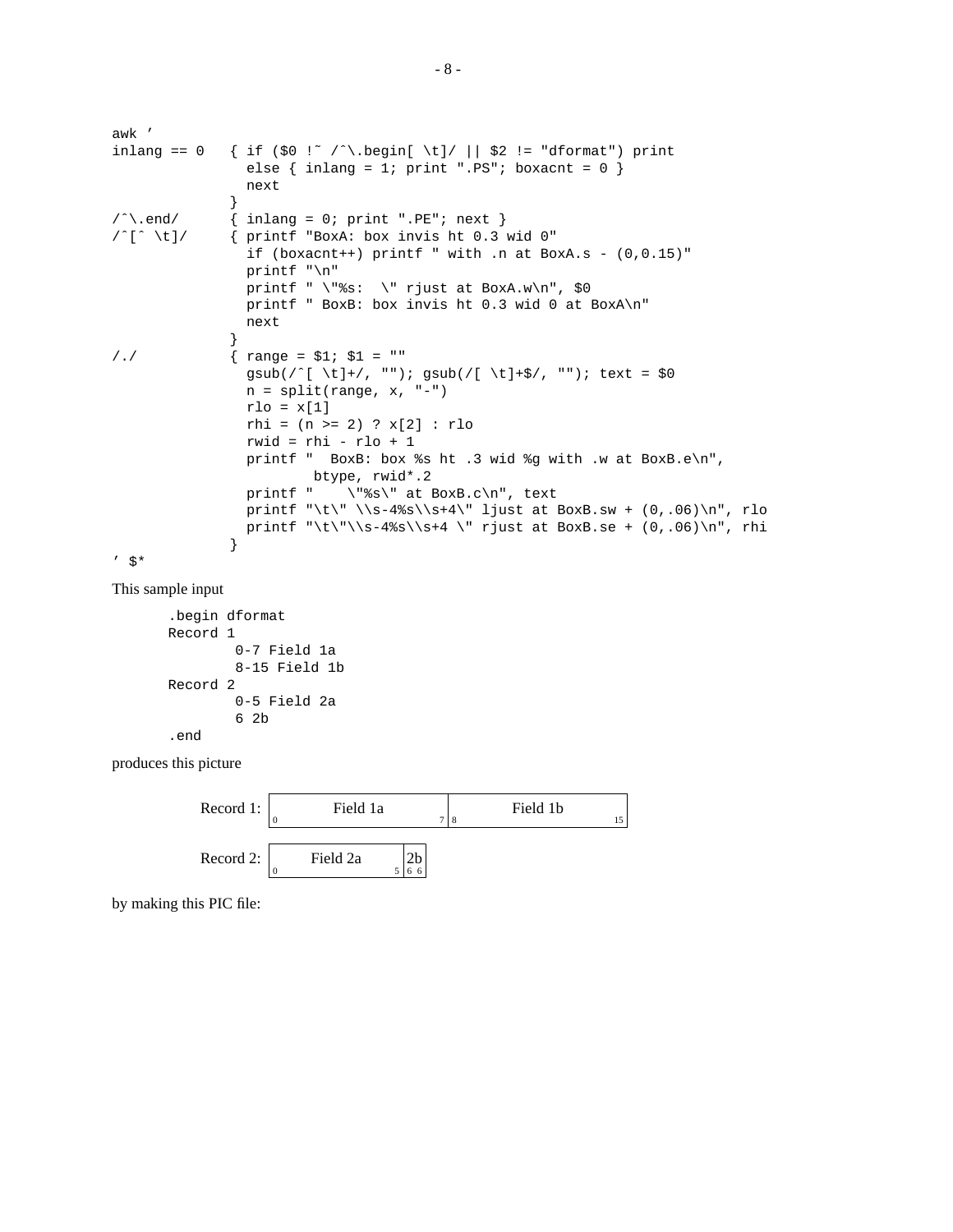```
awk '
inlang == 0 { if ($0 !~ /^\.begin[ \t]/ || $2 != "dformat") print
                else \{ inlang = 1; print ".PS"; boxacnt = 0 \}next
              }
\wedge \wedge .end/ \{ inlang = 0; print ".PE"; next \}/ˆ[ˆ \t]/ { printf "BoxA: box invis ht 0.3 wid 0"
                if (boxacnt++) printf " with .n at BoxA.s - (0,0.15)"
                printf "\n"
                printf " \forall "$s: \forall " rjust at BoxA.w\n\timesn", $0
                printf " BoxB: box invis ht 0.3 wid 0 at BoxA\n"
                next
               }
/./ \{ \text{range} = $1; $1 = "" \}gsub(/^[ \t]+/, ""); gsub(/[ \t]+$/, ""); text = $0
                n = split(range, x, "-")
                rlo = x[1]rhi = (n >= 2) ? x[2] : rlo
                rwid = rhi - rlo + 1
                printf " BoxB: box %s ht .3 wid %g with .w at BoxB.e\n",
                        btype, rwid*.2
                printf " \iota"%s\" at BoxB.c\n", text
                printf "\t\" \\s-4%s\\s+4\" ljust at BoxB.sw + (0,.06)\n", rlo
                printf "\t\"\\s-4%s\\s+4 \" rjust at BoxB.se + (0, .06)\n", rhi
              }
' \mathsf{S}^*
```
This sample input

```
.begin dformat
Record 1
        0-7 Field 1a
        8-15 Field 1b
Record 2
        0-5 Field 2a
        6 2b
.end
```
produces this picture



by making this PIC file: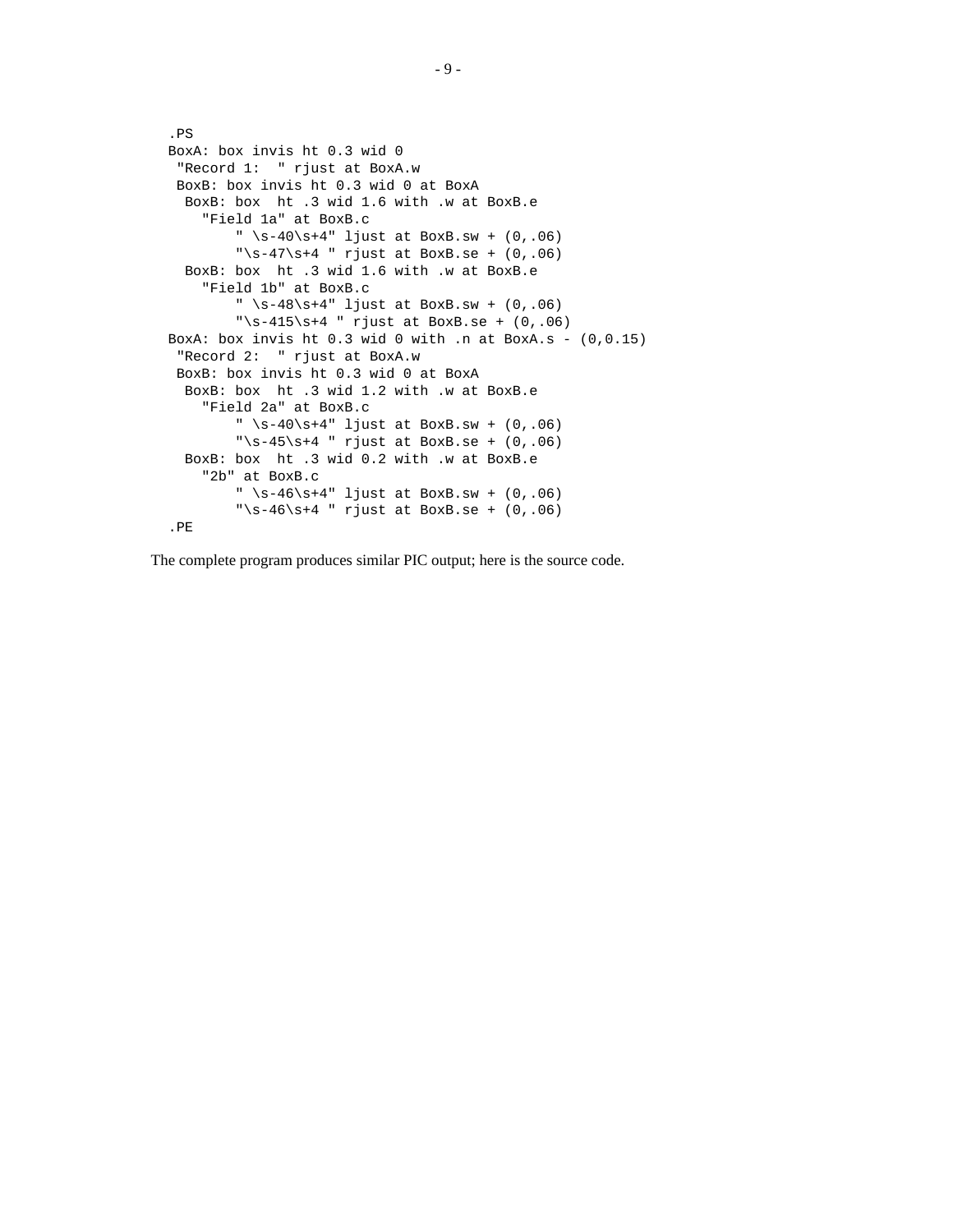```
.PS
BoxA: box invis ht 0.3 wid 0
"Record 1: " rjust at BoxA.w
BoxB: box invis ht 0.3 wid 0 at BoxA
 BoxB: box ht .3 wid 1.6 with .w at BoxB.e
    "Field 1a" at BoxB.c
        " \s-40\sqrt{s+4}" ljust at BoxB.sw + (0,.06)
        "\s-47\s+4" rjust at BoxB.se + (0, .06)BoxB: box ht .3 wid 1.6 with .w at BoxB.e
    "Field 1b" at BoxB.c
        " \s-48\s+4" ljust at BoxB.sw + (0, .06)"\s-415\s+4 " rjust at BoxB.se + (0, .06)BoxA: box invis ht 0.3 wid 0 with .n at BoxA.s - (0,0.15)"Record 2: " rjust at BoxA.w
BoxB: box invis ht 0.3 wid 0 at BoxA
 BoxB: box ht .3 wid 1.2 with .w at BoxB.e
    "Field 2a" at BoxB.c
        " \simeq 40\simeq 4" ljust at BoxB.sw + (0,.06)
        "\s-45\s+4 " rjust at BoxB.se + (0,.06)BoxB: box ht .3 wid 0.2 with .w at BoxB.e
    "2b" at BoxB.c
        \sqrt{s-46\sqrt{s+4}} ljust at BoxB.sw + (0,.06)
        "\s-46\s+4 " rjust at BoxB.se + (0, .06).PE
```
The complete program produces similar PIC output; here is the source code.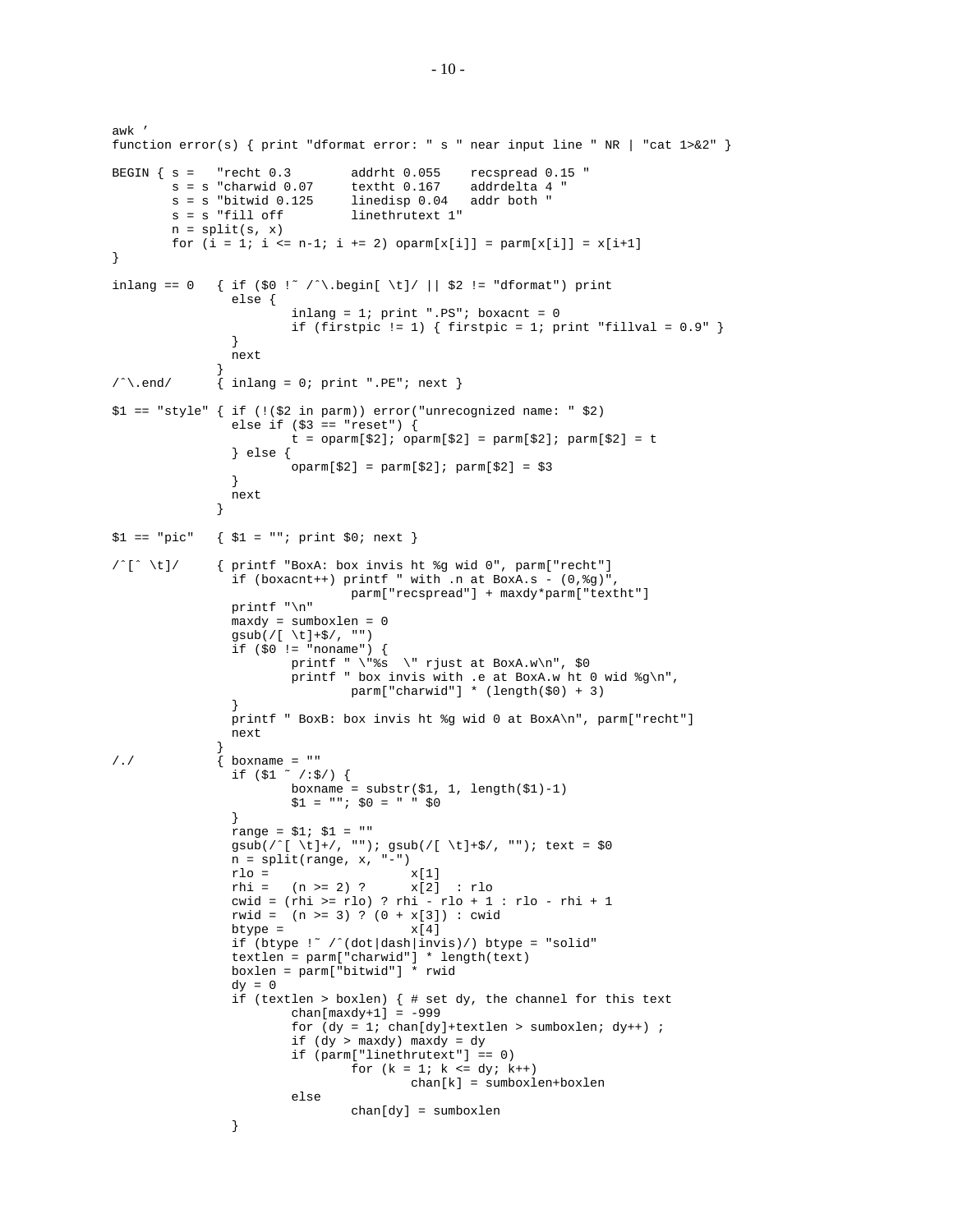awk ' function error(s) { print "dformat error: " s " near input line " NR | "cat 1>&2" } BEGIN  $\{ s = \text{"recht } 0.3 \text{ addrht } 0.055 \text{ respectively.} \}$  $s = s$  "charwid  $0.07$  textht  $0.167$  addrdelta  $4$  " s = s "bitwid 0.125 linedisp 0.04 addr both " linethrutext 1"  $n = split(s, x)$ for  $(i = 1; i \le n-1; i += 2)$  oparm $[x[i]] = \text{perm}[x[i]] = x[i+1]$ } inlang == 0 { if (\$0 !~ /^\.begin[ \t]/ || \$2 != "dformat") print else { inlang =  $1$ ; print ".PS"; boxacnt =  $0$ if (firstpic != 1)  $\{$  firstpic = 1; print "fillval = 0.9"  $\}$ } next }  $\wedge$   $\wedge$  .end/  $\{$  inlang = 0; print ".PE"; next } \$1 == "style" { if (!(\$2 in parm)) error("unrecognized name: " \$2) else if  $($ \$3 == "reset") {  $t = \text{oparm}[\$2]; \text{oparm}[\$2] = \text{parm}[\$2]; \text{parm}[\$2] = t$ } else {  $oparm[$2] = parm[$2]; parm[$2] = $3$ } next }  $$1 == "pic" { $1 = "": print $0; next }$ /ˆ[ˆ \t]/ { printf "BoxA: box invis ht %g wid 0", parm["recht"] if (boxacnt++) printf " with .n at BoxA.s -  $(0, \frac{2}{3}q)$ ", parm["recspread"] + maxdy\*parm["textht"] printf "\n" maxdy = sumboxlen = 0 gsub(/[ \t]+\$/, "") if (\$0 != "noname") { printf " \"%s \" rjust at BoxA.w\n", \$0 printf " box invis with .e at BoxA.w ht 0 wid %g\n", parm["charwid"] \* (length(\$0) + 3) } printf " BoxB: box invis ht %g wid 0 at BoxA\n", parm["recht"] next }  $/$ ./  $\{$  boxname = "" if (\$1 ˜ /:\$/) { boxname = substr(\$1, 1, length(\$1)-1) \$1 = ""; \$0 = " " \$0 } range = \$1; \$1 = "" gsub(/ˆ[ \t]+/, ""); gsub(/[ \t]+\$/, ""); text = \$0 n = split(range, x, "-") rlo =  $x[1]$ <br>rhi =  $(n \ge 2)$  ?  $x[2]$  $x[2]$  : rlo cwid = (rhi >= rlo) ? rhi - rlo + 1 : rlo - rhi + 1 rwid = (n >= 3) ? (0 + x[3]) : cwid  $btvpe = x[4]$ if (btype !˜ /ˆ(dot|dash|invis)/) btype = "solid" textlen =  $\text{param}['charwid]$  \* length(text) boxlen = parm["bitwid"] \* rwid  $dy = 0$ if (textlen > boxlen) { # set dy, the channel for this text  $chan[\max dy+1] = -999$ for  $(dy = 1; chan[dy]+textlen > sumboxlen; dy++);$ if (dy > maxdy) maxdy = dy if (parm["linethrutext"] == 0) for  $(k = 1; k <= dy; k++)$ chan[k] = sumboxlen+boxlen else chan[dy] = sumboxlen }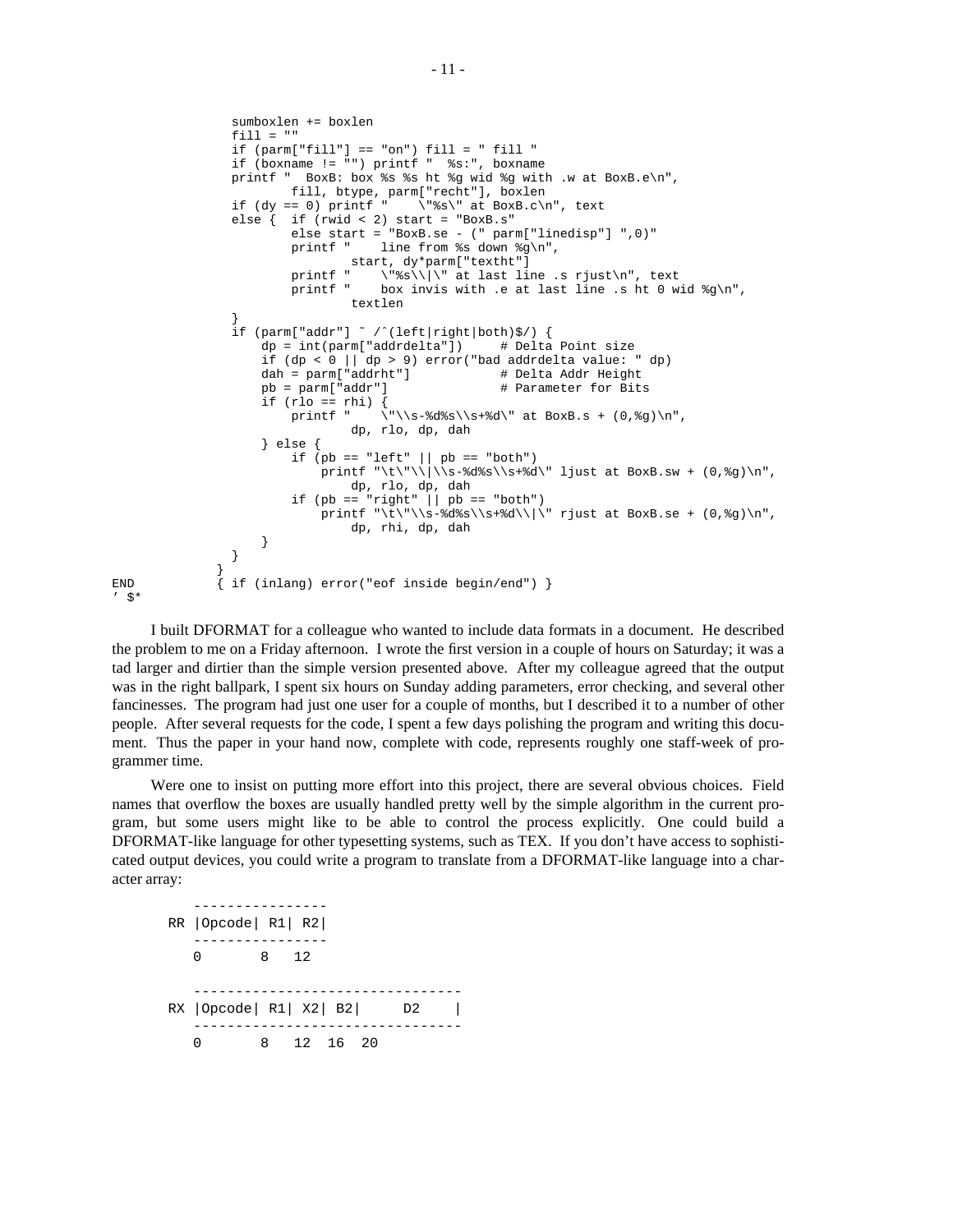```
sumboxlen += boxlen
                    fill = "if (param['fill''] == "on") fill = " fill"if (boxname != "") printf " %s:", boxname
                    printf " BoxB: box %s %s ht %g wid %g with .w at BoxB.e\n",
                    fill, btype, parm["recht"], boxlen<br>if (dy == 0) printf " \"%s\" at BoxB.c\n
                                                 if (dy == 0) printf " \"%s\" at BoxB.c\n", text
                    else { if (rwid < 2) start = "BoxB.s"
                              else start = "BoxB.se - (" parm["linedisp"] ",0)"<br>printf " line from %s down %\ln".
                                            line from %s down %g\n",
                              \begin{minipage}{.4\linewidth} start, dy*parm['textht']\nprintf " \ \text{``$s\\\\'\ at last li'\n}printf " \N'%s\\|\" at last line .s rjust\n", text printf " box invis with .e at last line .s ht 0 w
                                             box invis with .e at last line .s ht 0 wid g\n\textlen
                    }
                    if (parm["addr"] ˜ /ˆ(left|right|both)$/) {
                         dp = int(parm["addrdelta"]) # Delta Point size
                         if (dp < 0 || dp > 9) error("bad addrdelta value: " dp)<br>dah = parm["addrht"] # Delta Addr Height
                                                                # Delta Addr Height
                         pb = parm["addr"] # Parameter for Bits
                         \begin{array}{lll} \texttt{if (rlo == rhi) {} \\ \texttt{printf} & \texttt{'} \end{array}\nu' \|\s-8d\s\|\s+8d\' at BoxB.s + (0,%g)\n",
                                        dp, rlo, dp, dah
                         } else {
                              if (pb == "left" || pb == "both" )printf "\t\"\\|\\s-%d%s\\s+%d\" ljust at BoxB.sw + (0, %g)\n",
                                        dp, rlo, dp, dah
                              if (pb == "right" || pb == "both")printf "\t\"\\s-%d%s\\s+%d\\|\" rjust at BoxB.se + (0,%g)\n",
                                        dp, rhi, dp, dah
                         }
                    }
                  }
END { if (inlang) error("eof inside begin/end") }
```
 $'$   $\mathbb{S}^*$ 

I built DFORMAT for a colleague who wanted to include data formats in a document. He described the problem to me on a Friday afternoon. I wrote the first version in a couple of hours on Saturday; it was a tad larger and dirtier than the simple version presented above. After my colleague agreed that the output was in the right ballpark, I spent six hours on Sunday adding parameters, error checking, and several other fancinesses. The program had just one user for a couple of months, but I described it to a number of other people. After several requests for the code, I spent a few days polishing the program and writing this document. Thus the paper in your hand now, complete with code, represents roughly one staff-week of programmer time.

Were one to insist on putting more effort into this project, there are several obvious choices. Field names that overflow the boxes are usually handled pretty well by the simple algorithm in the current program, but some users might like to be able to control the process explicitly. One could build a DFORMAT-like language for other typesetting systems, such as TEX. If you don't have access to sophisticated output devices, you could write a program to translate from a DFORMAT-like language into a character array:

| $RR$   Opcode   $R1$   $R2$ |      |  |          |  |    |  |  |  |
|-----------------------------|------|--|----------|--|----|--|--|--|
| 0                           | 8 12 |  |          |  |    |  |  |  |
| RX  Opcode   R1   X2   B2   |      |  |          |  | D2 |  |  |  |
|                             | 8.   |  | 12 16 20 |  |    |  |  |  |